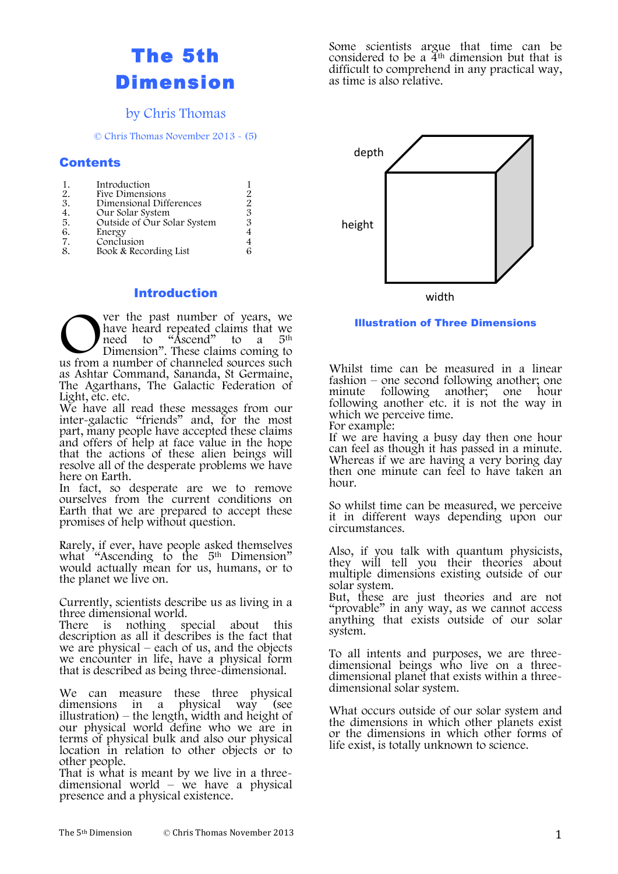## The 5th Dimension

## by Chris Thomas

© Chris Thomas November 2013 - (5)

#### Contents

#### Introduction

ver the past number of years, we have heard repeated claims that we<br>need to "Ascend" to a 5<sup>th</sup> need to "Ascend" Dimension". These claims coming to The past number of years, we have heard repeated claims that we need to "Ascend" to a 5<sup>th</sup> Dimension". These claims coming to us from a number of channeled sources such as Ashtar Command, Sananda, St Germaine, The Agarthans, The Galactic Federation of Light, etc. etc.

We have all read these messages from our inter-galactic "friends" and, for the most part, many people have accepted these claims part, many people have accepted these claims<br>and offers of help at face value in the hope that the actions of these alien beings will resolve all of the desperate problems we have here on Earth.

In fact, so desperate are we to remove ourselves from the current conditions on Earth that we are prepared to accept these promises of help without question.

Rarely, if ever, have people asked themselves what "Ascending to the 5<sup>th</sup> Dimension" would actually mean for us, humans, or to the planet we live on.

Currently, scientists describe us as living in a

There is nothing special about this description as all it describes is the fact that we encounter in life, have a physical form that is described as being three-dimensional.

We can measure these three physical dimensions in a physical way (see illustration) – the length, width and height of our physical world define who we are in terms of physical bulk and also our physical location in relation to other objects or to

other people.<br>That is what is meant by we live in a threedimensional world – we have a physical presence and a physical existence. Some scientists argue that time can be considered to be a  $\tilde{4}$ <sup>th</sup> dimension but that is difficult to comprehend in any practical way, as time is also relative.



Illustration of Three Dimensions

Whilst time can be measured in a linear fashion – one second following another; one minute following another; one hour following another etc. it is not the way in which we perceive time. For example:

If we are having a busy day then one hour can feel as though it has passed in a minute. Whereas if we are having a very boring day then one minute can feel to have taken an hour.

So whilst time can be measured, we perceive it in different ways depending upon our circumstances.

Also, if you talk with quantum physicists, they will tell you their theories about multiple dimensions existing outside of our solar system.

But, these are just theories and are not "provable" in any way, as we cannot access anything that exists outside of our solar system.

To all intents and purposes, we are three- dimensional beings who live on a three- dimensional planet that exists within a three- dimensional solar system.

What occurs outside of our solar system and the dimensions in which other planets exist or the dimensions in which other forms of life exist, is totally unknown to science.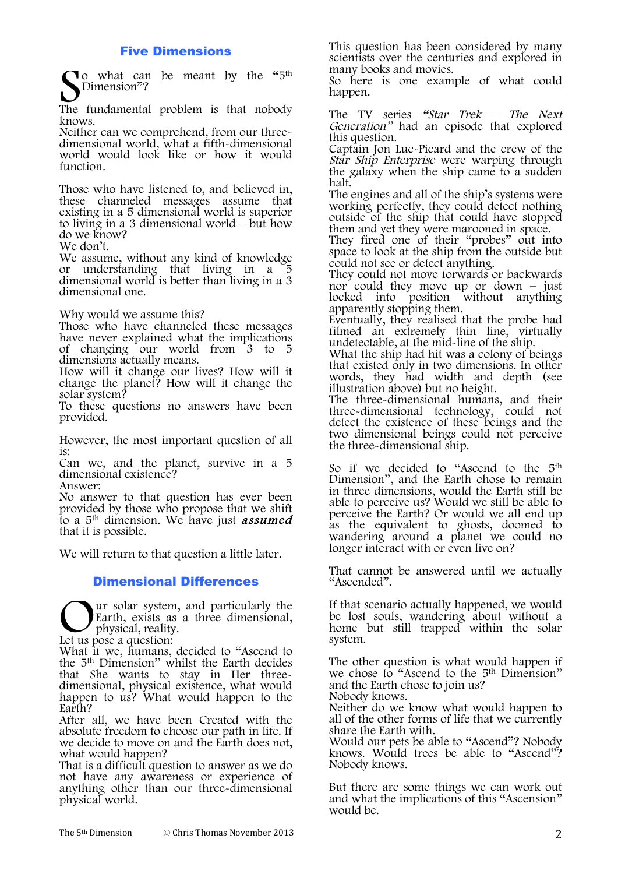#### Five Dimensions

To what can be meant by the "5<sup>th</sup> Dimension"? So what can be meant by the "5<sup>th"</sup><br>The fundamental problem is that nobody

knows.<br>Neither can we comprehend, from our threedimensional world, what a fifth-dimensional world would look like or how it would function.

Those who have listened to, and believed in, these channeled messages assume that existing in a 5 dimensional world is superior to living in a 3 dimensional world – but how do we know?

We don't.

We assume, without any kind of knowledge or understanding that living in a 5 dimensional world is better than living in a 3 dimensional one.

Why would we assume this?

Those who have channeled these messages have never explained what the implications of changing our world from 3 to 5 dimensions actually means.

How will it change our lives? How will it change the planet? How will it change the solar system?

To these questions no answers have been provided.

However, the most important question of all is:

Can we, and the planet, survive in a 5 dimensional existence?

Answer:

No answer to that question has ever been provided by those who propose that we shift to a  $5<sup>th</sup>$  dimension. We have just **assumed** that it is possible.

We will return to that question a little later.

#### Dimensional Differences

ur solar system, and particularly the Earth, exists as a three dimensional, physical, reality. Ur solar system<br>Earth, exists a physical, reality<br>Let us pose a question:

What if we, humans, decided to "Ascend to the  $5<sup>th</sup>$  Dimension" whilst the Earth decides that She wants to stay in Her threedimensional, physical existence, what would happen to us? What would happen to the Earth?

After all, we have been Created with the absolute freedom to choose our path in life. If we decide to move on and the Earth does not, what would happen?

That is a difficult question to answer as we do not have any awareness or experience of anything other than our three-dimensional physical world.

This question has been considered by many scientists over the centuries and explored in many books and movies.

So here is one example of what could happen.

The TV series "Star Trek – The Next Generation" had an episode that explored this question.

Captain Jon Luc-Picard and the crew of the Star Ship Enterprise were warping through the galaxy when the ship came to a sudden halt.

The engines and all of the ship's systems were working perfectly, they could detect nothing outside of the ship that could have stopped them and yet they were marooned in space.

They fired one of their "probes" out into space to look at the ship from the outside but could not see or detect anything.

They could not move forwards or backwards nor could they move up or down – just locked into position without anything<br>apparently stopping them.

Eventually, they realised that the probe had filmed an extremely thin line, virtually undetectable, at the mid-line of the ship.

What the ship had hit was a colony of beings that existed only in two dimensions. In other words, they had width and depth (see illustration above) but no height.

The three-dimensional humans, and their three-dimensional technology, could not detect the existence of these beings and the two dimensional beings could not perceive the three-dimensional ship.

So if we decided to "Ascend to the 5<sup>th</sup> Dimension", and the Earth chose to remain in three dimensions, would the Earth still be able to perceive us? Would we still be able to perceive the Earth? Or would we all end up as the equivalent to ghosts, doomed to wandering around a planet we could no longer interact with or even live on?

That cannot be answered until we actually "Ascended".

If that scenario actually happened, we would be lost souls, wandering about without a home but still trapped within the solar system.

The other question is what would happen if we chose to "Ascend to the 5<sup>th</sup> Dimension" and the Earth chose to join us? Nobody knows. Neither do we know what would happen to all of the other forms of life that we currently share the Earth with.

Would our pets be able to "Ascend"? Nobody knows. Would trees be able to "Ascend"? Nobody knows.

But there are some things we can work out and what the implications of this "Ascension" would be.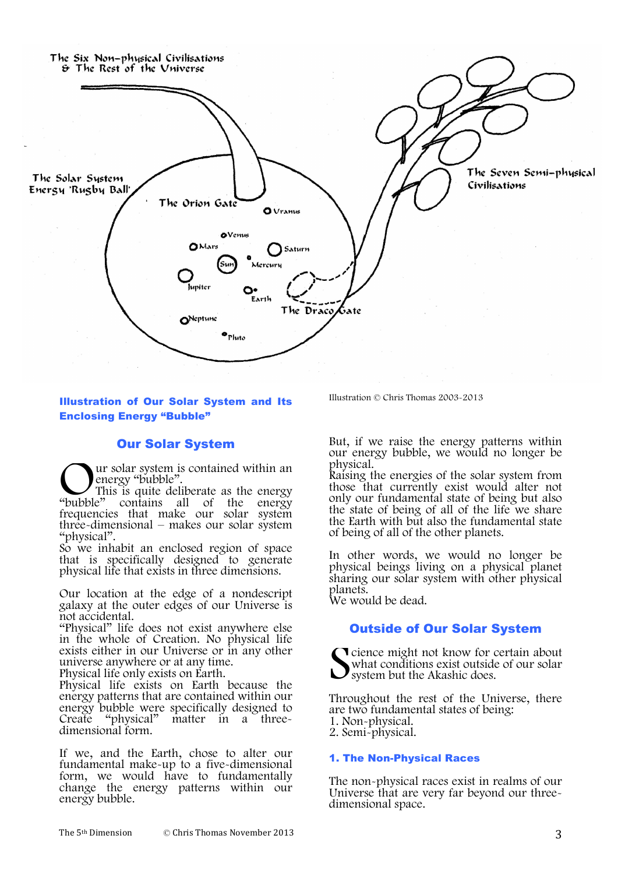

#### Illustration of Our Solar System and Its Enclosing Energy "Bubble"

#### Our Solar System

ur solar system is contained within an energy "bubble".

This is quite deliberate as the energy contains all of the energy frequencies that make our solar system three-dimensional – makes our solar system "physical". "bubble"

So we inhabit an enclosed region of space that is specifically designed to generate physical life that exists in three dimensions.

Our location at the edge of a nondescript galaxy at the outer edges of our Universe is not accidental.

"Physical" life does not exist anywhere else in the whole of Creation. No physical life exists either in our Universe or in any other universe anywhere or at any time.

Physical life only exists on Earth.

Physical life exists on Earth because the energy patterns that are contained within our energy bubble were specifically designed to<br>Create "physical" matter in a three-Create "physical" matter in a three- dimensional form.

If we, and the Earth, chose to alter our fundamental make-up to a five-dimensional form, we would have to fundamentally change the energy patterns within our energy bubble.

Illustration © Chris Thomas 2003-2013

But, if we raise the energy patterns within our energy bubble, we would no longer be

Raising the energies of the solar system from those that currently exist would alter not only our fundamental state of being but also the state of being of all of the life we share the Earth with but also the fundamental state of being of all of the other planets.

In other words, we would no longer be physical beings living on a physical planet sharing our solar system with other physical planets.

We would be dead.

### Outside of Our Solar System

**T** cience might not know for certain about what conditions exist outside of our solar system but the Akashic does. S

Throughout the rest of the Universe, there are two fundamental states of being: 1. Non-physical. 2. Semi-physical.

## 1. The Non-Physical Races

The non-physical races exist in realms of our Universe that are very far beyond our three- dimensional space.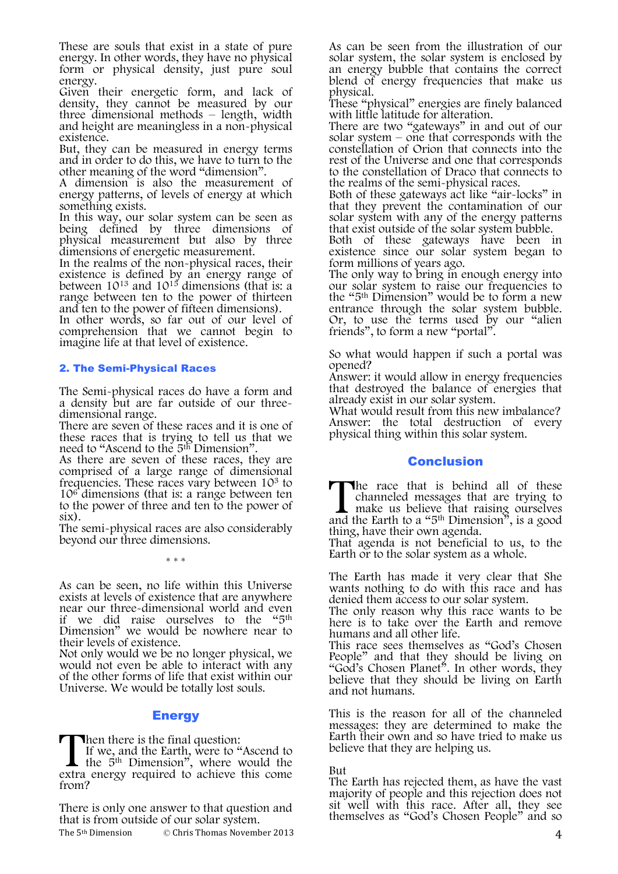These are souls that exist in a state of pure energy. In other words, they have no physical form or physical density, just pure soul energy.

Given their energetic form, and lack of density, they cannot be measured by our three dimensional methods – length, width and height are meaningless in a non-physical existence.

But, they can be measured in energy terms and in order to do this, we have to turn to the other meaning of the word "dimension".

A dimension is also the measurement of energy patterns, of levels of energy at which something exists.

In this way, our solar system can be seen as being defined by three dimensions of physical measurement but also by three

dimensions of energetic measurement.<br>In the realms of the non-physical races, their In the realms of the non-physical races, their existence is defined by an energy range of between 1013 and 1015 dimensions (that is: a range between ten to the power of thirteen and ten to the power of fifteen dimensions).

In other words, so far out of our level of comprehension that we cannot begin to imagine life at that level of existence.

#### 2. The Semi-Physical Races

The Semi-physical races do have a form and a density but are far outside of our three- dimensional range.

There are seven of these races and it is one of these races that is trying to tell us that we need to "Ascend to the 5th Dimension".

As there are seven of these races, they are comprised of a large range of dimensional frequencies. These races vary between 10<sup>3</sup> to  $10<sup>6</sup>$  dimensions (that is: a range between ten to the power of three and ten to the power of six).

The semi-physical races are also considerably beyond our three dimensions.

\* \* \*

As can be seen, no life within this Universe exists at levels of existence that are anywhere near our three-dimensional world and even if we did raise ourselves to the "5th Dimension" we would be nowhere near to their levels of existence.

Not only would we be no longer physical, we would not even be able to interact with any of the other forms of life that exist within our Universe. We would be totally lost souls.

#### **Energy**

**Then there is the final question:** 

If we, and the Earth, were to "Ascend to the  $5<sup>th</sup>$  Dimension<sup>"</sup>, where would the extra energy required to achieve this come from? **T**<br>extra

There is only one answer to that question and that is from outside of our solar system.

The  $5<sup>th</sup>$  Dimension  $\qquad \qquad \odot$  Chris Thomas November 2013

As can be seen from the illustration of our solar system, the solar system is enclosed by an energy bubble that contains the correct blend of energy frequencies that make us physical.

These "physical" energies are finely balanced with little latitude for alteration.

There are two "gateways" in and out of our solar system – one that corresponds with the constellation of Orion that connects into the rest of the Universe and one that corresponds to the constellation of Draco that connects to the realms of the semi-physical races.

Both of these gateways act like "air-locks" in that they prevent the contamination of our solar system with any of the energy patterns that exist outside of the solar system bubble.

Both of these gateways have been in existence since our solar system began to form millions of years ago.

The only way to bring in enough energy into our solar system to raise our frequencies to the "5th Dimension" would be to form a new entrance through the solar system bubble. Or, to use the terms used by our "alien friends", to form a new "portal".

So what would happen if such a portal was opened?

Answer: it would allow in energy frequencies that destroyed the balance of energies that already exist in our solar system.

What would result from this new imbalance? Answer: the total destruction of every physical thing within this solar system.

#### **Conclusion**

The race that is behind all of these channeled messages that are trying to make us believe that raising ourselves The race that is behind all of these channeled messages that are trying to make us believe that raising ourselves and the Earth to a "5<sup>th</sup> Dimension", is a good

thing, have their own agenda. That agenda is not beneficial to us, to the Earth or to the solar system as a whole.

The Earth has made it very clear that She wants nothing to do with this race and has denied them access to our solar system.

The only reason why this race wants to be here is to take over the Earth and remove humans and all other life.

This race sees themselves as "God's Chosen People" and that they should be living on "God's Chosen Planet". In other words, they believe that they should be living on Earth and not humans.

This is the reason for all of the channeled messages: they are determined to make the Earth their own and so have tried to make us believe that they are helping us.

#### But

The Earth has rejected them, as have the vast majority of people and this rejection does not sit well with this race. After all, they see themselves as "God's Chosen People" and so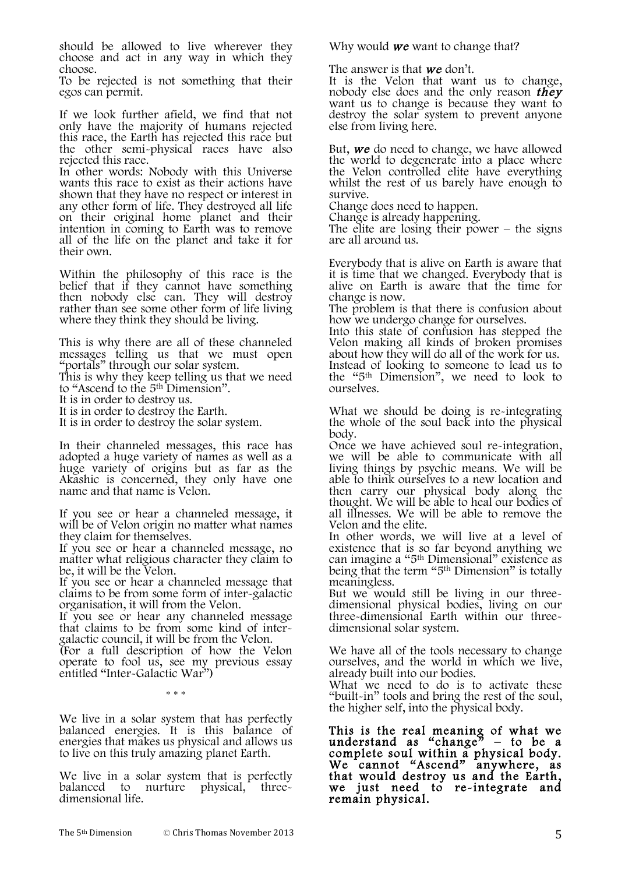should be allowed to live wherever they choose and act in any way in which they choose.

To be rejected is not something that their egos can permit.

If we look further afield, we find that not only have the majority of humans rejected this race, the Earth has rejected this race but the other semi-physical races have also rejected this race.

In other words: Nobody with this Universe wants this race to exist as their actions have shown that they have no respect or interest in any other form of life. They destroyed all life on their original home planet and their intention in coming to Earth was to remove all of the life on the planet and take it for their own.

Within the philosophy of this race is the belief that if they cannot have something then nobody else can. They will destroy rather than see some other form of life living where they think they should be living.

This is why there are all of these channeled messages telling us that we must open "portals" through our solar system.

This is why they keep telling us that we need to "Ascend to the 5th Dimension".

It is in order to destroy us.

It is in order to destroy the Earth.

It is in order to destroy the solar system.

In their channeled messages, this race has adopted a huge variety of names as well as a huge variety of origins but as far as the Akashic is concerned, they only have one name and that name is Velon.

If you see or hear a channeled message, it will be of Velon origin no matter what names they claim for themselves.

If you see or hear a channeled message, no matter what religious character they claim to be, it will be the Velon.

If you see or hear a channeled message that claims to be from some form of inter-galactic

If you see or hear any channeled message. that claims to be from some kind of inter- galactic council, it will be from the Velon. (For a full description of how the Velon

operate to fool us, see my previous essay entitled "Inter-Galactic War")

\* \* \*

We live in a solar system that has perfectly balanced energies. It is this balance of energies that makes us physical and allows us to live on this truly amazing planet Earth.

We live in a solar system that is perfectly balanced to nurture physical, threebalanced to nurture physical, three- dimensional life.

Why would **we** want to change that?

The answer is that **we** don't.

It is the Velon that want us to change, nobody else does and the only reason they want us to change is because they want to destroy the solar system to prevent anyone else from living here.

But, we do need to change, we have allowed the world to degenerate into a place where the Velon controlled elite have everything whilst the rest of us barely have enough to survive.

Change does need to happen.

Change is already happening. The elite are losing their power – the signs are all around us.

Everybody that is alive on Earth is aware that it is time that we changed. Everybody that is alive on Earth is aware that the time for change is now.

The problem is that there is confusion about how we undergo change for ourselves.

Into this state of confusion has stepped the Velon making all kinds of broken promises about how they will do all of the work for us. Instead of looking to someone to lead us to the "5th Dimension", we need to look to ourselves.

What we should be doing is re-integrating the whole of the soul back into the physical body.

Once we have achieved soul re-integration, we will be able to communicate with all living things by psychic means. We will be able to think ourselves to a new location and then carry our physical body along the thought. We will be able to heal our bodies of all illnesses. We will be able to remove the Velon and the elite.

In other words, we will live at a level of existence that is so far beyond anything we can imagine a "5th Dimensional" existence as being that the term "5th Dimension" is totally meaningless.

But we would still be living in our three- dimensional physical bodies, living on our three-dimensional Earth within our three- dimensional solar system.

We have all of the tools necessary to change ourselves, and the world in which we live, already built into our bodies.

What we need to do is to activate these "built-in" tools and bring the rest of the soul, the higher self, into the physical body.

This is the real meaning of what we understand as "change"  $-$  to be a complete soul within a physical body. We cannot "Ascend" anywhere, as that would destroy us and the Earth, we just need to re-integrate and remain physical.